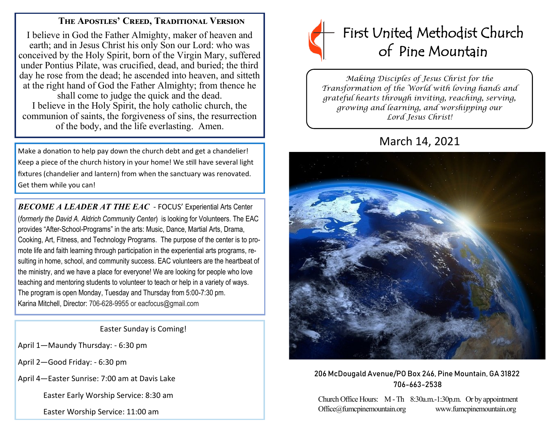## **The Apostles' Creed, Traditional Version**

I believe in God the Father Almighty, maker of heaven and earth; and in Jesus Christ his only Son our Lord: who was conceived by the Holy Spirit, born of the Virgin Mary, suffered under Pontius Pilate, was crucified, dead, and buried; the third day he rose from the dead; he ascended into heaven, and sitteth at the right hand of God the Father Almighty; from thence he shall come to judge the quick and the dead. I believe in the Holy Spirit, the holy catholic church, the communion of saints, the forgiveness of sins, the resurrection of the body, and the life everlasting. Amen.

Make a donation to help pay down the church debt and get a chandelier! Keep a piece of the church history in your home! We still have several light fixtures (chandelier and lantern) from when the sanctuary was renovated. Get them while you can!

*BECOME A LEADER AT THE EAC* - FOCUS' Experiential Arts Center (*formerly the David A. Aldrich Community Center*) is looking for Volunteers. The EAC provides "After-School-Programs" in the arts: Music, Dance, Martial Arts, Drama, Cooking, Art, Fitness, and Technology Programs. The purpose of the center is to promote life and faith learning through participation in the experiential arts programs, resulting in home, school, and community success. EAC volunteers are the heartbeat of the ministry, and we have a place for everyone! We are looking for people who love teaching and mentoring students to volunteer to teach or help in a variety of ways. The program is open Monday, Tuesday and Thursday from 5:00-7:30 pm. Karina Mitchell, Director: 706-628-9955 or eacfocus@gmail.com

Easter Sunday is Coming!

April 1—Maundy Thursday: - 6:30 pm

April 2—Good Friday: - 6:30 pm

April 4—Easter Sunrise: 7:00 am at Davis Lake

Easter Early Worship Service: 8:30 am

Easter Worship Service: 11:00 am



*Making Disciples of Jesus Christ for the Transformation of the World with loving hands and grateful hearts through inviting, reaching, serving, growing and learning, and worshipping our Lord Jesus Christ!* 

# March 14, 2021



## 206 McDougald Avenue/PO Box 246, Pine Mountain, GA 31822 706-663-2538

Church Office Hours: M -Th 8:30a.m.-1:30p.m. Or by appointment Office@fumcpinemountain.org www.fumcpinemountain.org